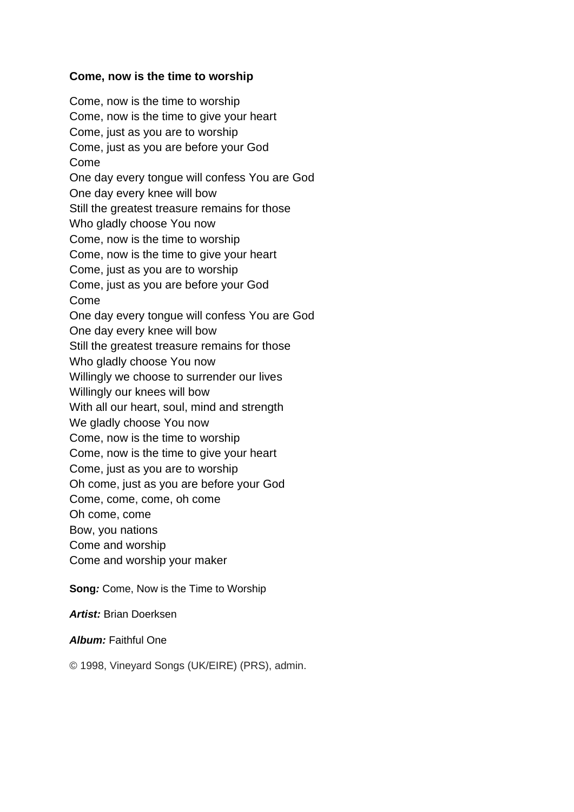# **Come, now is the time to worship**

Come, now is the time to worship Come, now is the time to give your heart Come, just as you are to worship Come, just as you are before your God Come One day every tongue will confess You are God One day every knee will bow Still the greatest treasure remains for those Who gladly choose You now Come, now is the time to worship Come, now is the time to give your heart Come, just as you are to worship Come, just as you are before your God Come One day every tongue will confess You are God One day every knee will bow Still the greatest treasure remains for those Who gladly choose You now Willingly we choose to surrender our lives Willingly our knees will bow With all our heart, soul, mind and strength We gladly choose You now Come, now is the time to worship Come, now is the time to give your heart Come, just as you are to worship Oh come, just as you are before your God Come, come, come, oh come Oh come, come Bow, you nations Come and worship Come and worship your maker

**Song***:* [Come, Now is the Time to Worship](https://www.youtube.com/watch?v=_ZaZetm9aag)

*Artist:* [Brian Doerksen](https://www.youtube.com/channel/UCRobfRFsZFS3Z-A3JEVISFg)

*Album:* Faithful One

© 1998, Vineyard Songs (UK/EIRE) (PRS), admin.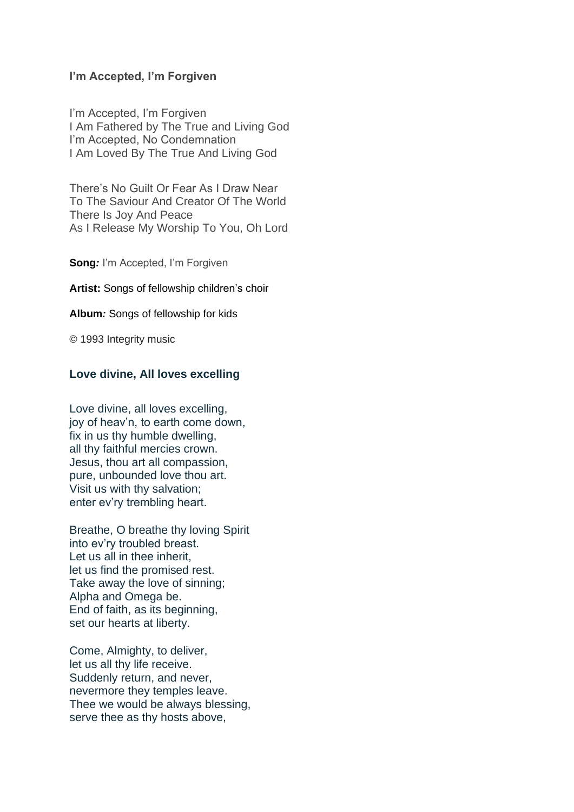### **I'm Accepted, I'm Forgiven**

I'm Accepted, I'm Forgiven I Am Fathered by The True and Living God I'm Accepted, No Condemnation I Am Loved By The True And Living God

There's No Guilt Or Fear As I Draw Near To The Saviour And Creator Of The World There Is Joy And Peace As I Release My Worship To You, Oh Lord

**Song***:* I'm Accepted, I'm Forgiven

**Artist:** Songs of fellowship children's choir

#### **Album***:* Songs of fellowship for kids

© 1993 Integrity music

# **Love divine, All loves excelling**

Love divine, all loves excelling, joy of heav'n, to earth come down, fix in us thy humble dwelling, all thy faithful mercies crown. Jesus, thou art all compassion, pure, unbounded love thou art. Visit us with thy salvation; enter ev'ry trembling heart.

Breathe, O breathe thy loving Spirit into ev'ry troubled breast. Let us all in thee inherit, let us find the promised rest. Take away the love of sinning; Alpha and Omega be. End of faith, as its beginning, set our hearts at liberty.

Come, Almighty, to deliver, let us all thy life receive. Suddenly return, and never, nevermore they temples leave. Thee we would be always blessing, serve thee as thy hosts above,